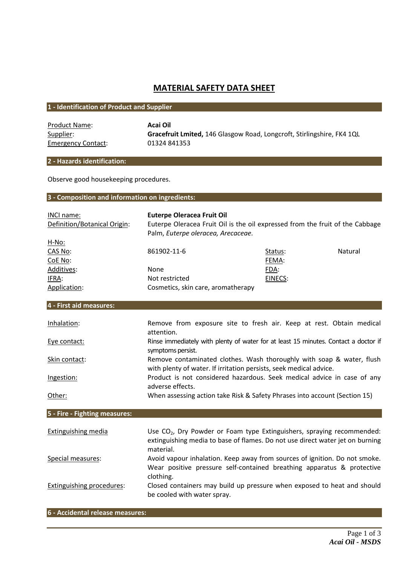# **MATERIAL SAFETY DATA SHEET**

## **1 - Identification of Product and Supplier**

| <b>Product Name:</b>     |
|--------------------------|
| Supplier:                |
| <b>Emergency Contact</b> |

**Acai Oil** Gracefruit Lmited, 146 Glasgow Road, Longcroft, Stirlingshire, FK4 1QL  $\frac{ct}{1}$ : 01324 841353

## **2 - Hazards identification:**

Observe good housekeeping procedures.

# **3 - Composition and information on ingredients:**

| INCI name:                    | <b>Euterpe Oleracea Fruit Oil</b>                                                                                                             |         |         |
|-------------------------------|-----------------------------------------------------------------------------------------------------------------------------------------------|---------|---------|
| Definition/Botanical Origin:  | Euterpe Oleracea Fruit Oil is the oil expressed from the fruit of the Cabbage                                                                 |         |         |
|                               | Palm, Euterpe oleracea, Arecaceae.                                                                                                            |         |         |
| H-No:                         |                                                                                                                                               |         |         |
| CAS No:                       | 861902-11-6                                                                                                                                   | Status: | Natural |
| CoE No:                       |                                                                                                                                               | FEMA:   |         |
| Additives:                    | None                                                                                                                                          | FDA:    |         |
| IFRA:                         | Not restricted                                                                                                                                | EINECS: |         |
| Application:                  | Cosmetics, skin care, aromatherapy                                                                                                            |         |         |
|                               |                                                                                                                                               |         |         |
| 4 - First aid measures:       |                                                                                                                                               |         |         |
| Inhalation:                   | Remove from exposure site to fresh air. Keep at rest. Obtain medical                                                                          |         |         |
|                               | attention.                                                                                                                                    |         |         |
| Eye contact:                  | Rinse immediately with plenty of water for at least 15 minutes. Contact a doctor if                                                           |         |         |
|                               | symptoms persist.                                                                                                                             |         |         |
| Skin contact:                 | Remove contaminated clothes. Wash thoroughly with soap & water, flush                                                                         |         |         |
| Ingestion:                    | with plenty of water. If irritation persists, seek medical advice.<br>Product is not considered hazardous. Seek medical advice in case of any |         |         |
|                               | adverse effects.                                                                                                                              |         |         |
| Other:                        | When assessing action take Risk & Safety Phrases into account (Section 15)                                                                    |         |         |
|                               |                                                                                                                                               |         |         |
| 5 - Fire - Fighting measures: |                                                                                                                                               |         |         |
|                               |                                                                                                                                               |         |         |
| <b>Extinguishing media</b>    | Use CO <sub>2</sub> , Dry Powder or Foam type Extinguishers, spraying recommended:                                                            |         |         |
|                               | extinguishing media to base of flames. Do not use direct water jet on burning                                                                 |         |         |
|                               | material.                                                                                                                                     |         |         |
| Special measures:             | Avoid vapour inhalation. Keep away from sources of ignition. Do not smoke.                                                                    |         |         |
|                               | Wear positive pressure self-contained breathing apparatus & protective                                                                        |         |         |
|                               | clothing.                                                                                                                                     |         |         |
| Extinguishing procedures:     | Closed containers may build up pressure when exposed to heat and should                                                                       |         |         |
|                               | be cooled with water spray.                                                                                                                   |         |         |

### **6 - Accidental release measures:**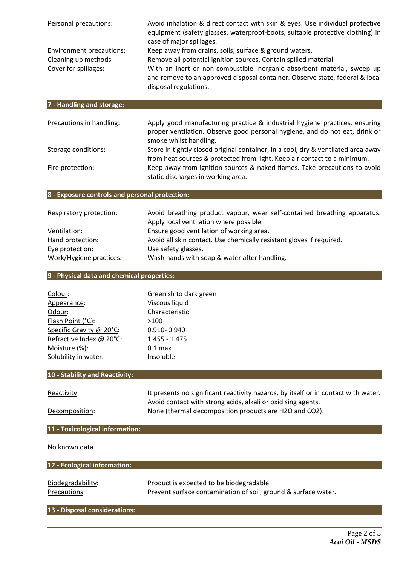| Personal precautions:                                                          | Avoid inhalation & direct contact with skin & eyes. Use individual protective<br>equipment (safety glasses, waterproof-boots, suitable protective clothing) in<br>case of major spillages.<br>Keep away from drains, soils, surface & ground waters.<br>Remove all potential ignition sources. Contain spilled material.<br>With an inert or non-combustible inorganic absorbent material, sweep up<br>and remove to an approved disposal container. Observe state, federal & local<br>disposal regulations. |  |
|--------------------------------------------------------------------------------|--------------------------------------------------------------------------------------------------------------------------------------------------------------------------------------------------------------------------------------------------------------------------------------------------------------------------------------------------------------------------------------------------------------------------------------------------------------------------------------------------------------|--|
| <b>Environment precautions:</b><br>Cleaning up methods<br>Cover for spillages: |                                                                                                                                                                                                                                                                                                                                                                                                                                                                                                              |  |
| 7 - Handling and storage:                                                      |                                                                                                                                                                                                                                                                                                                                                                                                                                                                                                              |  |
| Precautions in handling:                                                       | Apply good manufacturing practice & industrial hygiene practices, ensuring<br>proper ventilation. Observe good personal hygiene, and do not eat, drink or<br>smoke whilst handling.                                                                                                                                                                                                                                                                                                                          |  |
| <b>Storage conditions:</b>                                                     | Store in tightly closed original container, in a cool, dry & ventilated area away<br>from heat sources & protected from light. Keep air contact to a minimum.                                                                                                                                                                                                                                                                                                                                                |  |
| Fire protection:                                                               | Keep away from ignition sources & naked flames. Take precautions to avoid<br>static discharges in working area.                                                                                                                                                                                                                                                                                                                                                                                              |  |

### **8 - Exposure controls and personal protection:**

| Respiratory protection: | Avoid breathing product vapour, wear self-contained breathing apparatus. |
|-------------------------|--------------------------------------------------------------------------|
|                         | Apply local ventilation where possible.                                  |
| Ventilation:            | Ensure good ventilation of working area.                                 |
| Hand protection:        | Avoid all skin contact. Use chemically resistant gloves if required.     |
| Eye protection:         | Use safety glasses.                                                      |
| Work/Hygiene practices: | Wash hands with soap & water after handling.                             |

## **9 - Physical data and chemical properties:**

| Colour:                  | Greenish to dark green |
|--------------------------|------------------------|
| Appearance:              | Viscous liquid         |
| Odour:                   | Characteristic         |
| Flash Point (°C):        | >100                   |
| Specific Gravity @ 20°C: | 0.910-0.940            |
| Refractive Index @ 20°C: | $1.455 - 1.475$        |
| Moisture (%):            | $0.1$ max              |
| Solubility in water:     | Insoluble              |

## **10 - Stability and Reactivity:**

Reactivity: It presents no significant reactivity hazards, by itself or in contact with water. Avoid contact with strong acids, alkali or oxidising agents. Decomposition: None (thermal decomposition products are H2O and CO2).

# **11 - Toxicological information:**

No known data

| 12 - Ecological information: |                                                                |  |  |
|------------------------------|----------------------------------------------------------------|--|--|
| Biodegradability:            | Product is expected to be biodegradable                        |  |  |
| Precautions:                 | Prevent surface contamination of soil, ground & surface water. |  |  |

# **13 - Disposal considerations:**